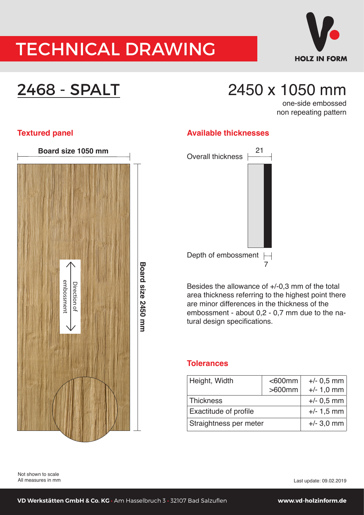## TECHNICAL DRAWING



## 2468 - SPALT

### 2450 x 1050 mm

one-side embossed non repeating pattern



#### **Textured panel and areas in the set of the Available thicknesses**



Besides the allowance of  $+/-0$ , 3 mm of the total area thickness referring to the highest point there are minor differences in the thickness of the embossment - about 0,2 - 0,7 mm due to the natural design specifications.

#### **Tolerances**

| Height, Width          | $<$ 600 $mm$<br>$>600$ mm | $+/- 0.5$ mm<br>$+/- 1,0$ mm |
|------------------------|---------------------------|------------------------------|
| <b>Thickness</b>       |                           | $+/- 0.5$ mm                 |
| Exactitude of profile  |                           | $+/- 1,5$ mm                 |
| Straightness per meter |                           | $+/-$ 3,0 mm                 |

Not shown to scale All measures in mm

Last update: 09.02.2019